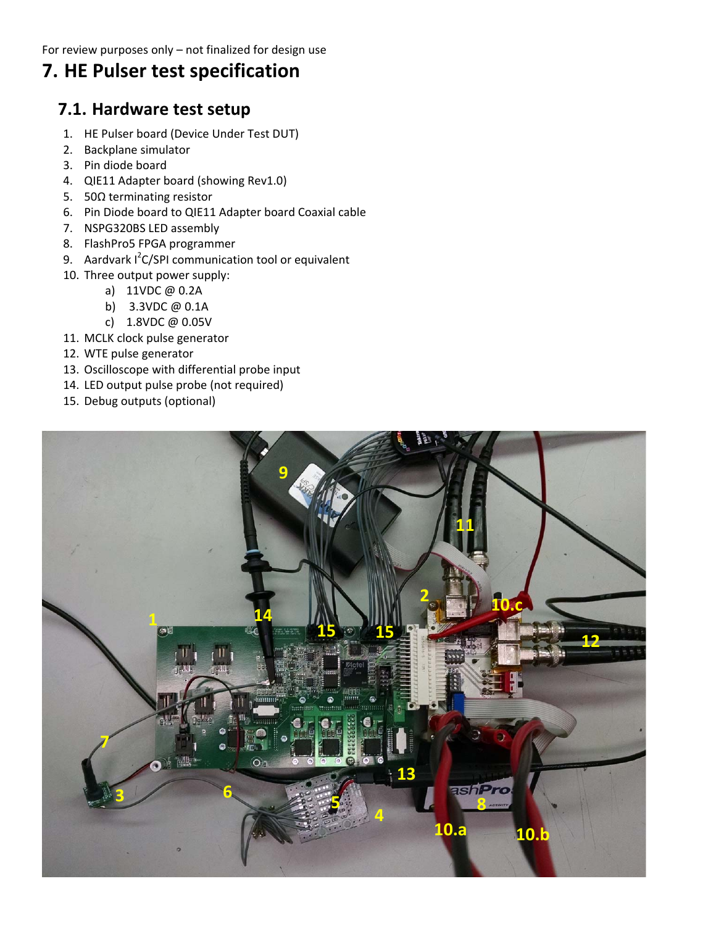## **7. HE Pulser test specification**

#### **7.1. Hardware test setup**

- 1. HE Pulser board (Device Under Test DUT)
- 2. Backplane simulator
- 3. Pin diode board
- 4. QIE11 Adapter board (showing Rev1.0)
- 5. 50Ω terminating resistor
- 6. Pin Diode board to QIE11 Adapter board Coaxial cable
- 7. NSPG320BS LED assembly
- 8. FlashPro5 FPGA programmer
- 9. Aardvark I<sup>2</sup>C/SPI communication tool or equivalent
- 10. Three output power supply:
	- a) 11VDC @ 0.2A
	- b) 3.3VDC @ 0.1A
	- c) 1.8VDC @ 0.05V
- 11. MCLK clock pulse generator
- 12. WTE pulse generator
- 13. Oscilloscope with differential probe input
- 14. LED output pulse probe (not required)
- 15. Debug outputs (optional)

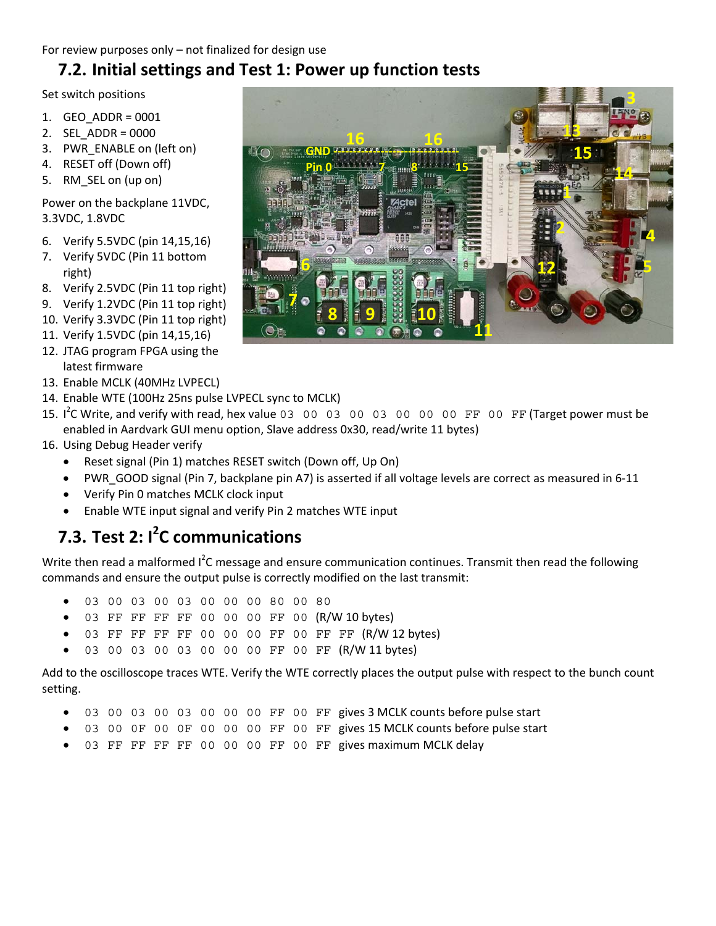### **7.2. Initial settings and Test 1: Power up function tests**

Set switch positions

- 1. GEO\_ADDR = 0001
- 2. SEL\_ADDR = 0000
- 3. PWR\_ENABLE on (left on)
- 4. RESET off (Down off)
- 5. RM\_SEL on (up on)

Power on the backplane 11VDC, 3.3VDC, 1.8VDC

- 6. Verify 5.5VDC (pin 14,15,16)
- 7. Verify 5VDC (Pin 11 bottom right)
- 8. Verify 2.5VDC (Pin 11 top right)
- 9. Verify 1.2VDC (Pin 11 top right)
- 10. Verify 3.3VDC (Pin 11 top right)
- 11. Verify 1.5VDC (pin 14,15,16)
- 12. JTAG program FPGA using the latest firmware
- 13. Enable MCLK (40MHz LVPECL)
- 14. Enable WTE (100Hz 25ns pulse LVPECL sync to MCLK)
- 15. I<sup>2</sup>C Write, and verify with read, hex value 03 00 03 00 03 00 00 00 00 FF 00 FF (Target power must be enabled in Aardvark GUI menu option, Slave address 0x30, read/write 11 bytes)
- 16. Using Debug Header verify
	- Reset signal (Pin 1) matches RESET switch (Down off, Up On)
	- PWR\_GOOD signal (Pin 7, backplane pin A7) is asserted if all voltage levels are correct as measured in 6‐11
	- Verify Pin 0 matches MCLK clock input
	- Enable WTE input signal and verify Pin 2 matches WTE input

# **7.3. Test 2: I 2 C communications**

Write then read a malformed I<sup>2</sup>C message and ensure communication continues. Transmit then read the following commands and ensure the output pulse is correctly modified on the last transmit:

- 03 00 03 00 03 00 00 00 80 00 80
- 03 FF FF FF FF 00 00 00 FF 00 (R/W 10 bytes)
- 03 FF FF FF FF 00 00 00 FF 00 FF FF (R/W 12 bytes)
- 03 00 03 00 03 00 00 00 FF 00 FF (R/W 11 bytes)

Add to the oscilloscope traces WTE. Verify the WTE correctly places the output pulse with respect to the bunch count setting.

- 03 00 03 00 03 00 00 00 FF 00 FF gives 3 MCLK counts before pulse start
- 03 00 0F 00 0F 00 00 00 FF 00 FF gives 15 MCLK counts before pulse start
- 03 FF FF FF FF 00 00 00 FF 00 FF gives maximum MCLK delay